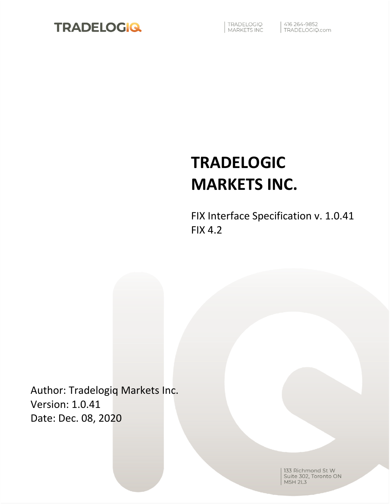

TRADELOGIQ<br>MARKETS INC

| 416 264-9852<br>| TRADELOGIQ.com

# **TRADELOGIC MARKETS INC.**

FIX Interface Specification v. 1.0.41 FIX 4.2

Author: Tradelogiq Markets Inc. Version: 1.0.41 Date: Dec. 08, 2020

> 133 Richmond St W Suite 302, Toronto ON **M5H 2L3**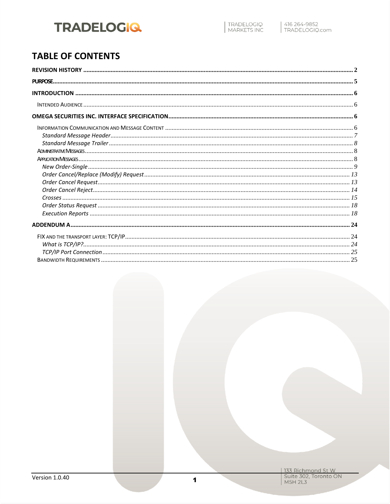### **TABLE OF CONTENTS**

| 133 Richmond St W<br>| Suite 302, Toronto ON<br>| M5H 2L3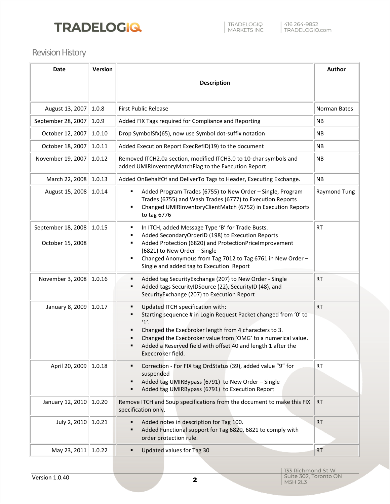# **TRADELOGIO.**

### <span id="page-2-0"></span>Revision History

| <b>Date</b>                            | Version |                                                                                                                                                                                                                                                                                                                                                    | Author              |
|----------------------------------------|---------|----------------------------------------------------------------------------------------------------------------------------------------------------------------------------------------------------------------------------------------------------------------------------------------------------------------------------------------------------|---------------------|
|                                        |         | <b>Description</b>                                                                                                                                                                                                                                                                                                                                 |                     |
|                                        |         |                                                                                                                                                                                                                                                                                                                                                    |                     |
| August 13, 2007                        | 1.0.8   | <b>First Public Release</b>                                                                                                                                                                                                                                                                                                                        | Norman Bates        |
| September 28, 2007                     | 1.0.9   | Added FIX Tags required for Compliance and Reporting                                                                                                                                                                                                                                                                                               | <b>NB</b>           |
| October 12, 2007                       | 1.0.10  | Drop SymbolSfx(65), now use Symbol dot-suffix notation                                                                                                                                                                                                                                                                                             | <b>NB</b>           |
| October 18, 2007                       | 1.0.11  | Added Execution Report ExecRefID(19) to the document                                                                                                                                                                                                                                                                                               | <b>NB</b>           |
| November 19, 2007                      | 1.0.12  | Removed ITCH2.0a section, modified ITCH3.0 to 10-char symbols and<br>added UMIRInventoryMatchFlag to the Execution Report                                                                                                                                                                                                                          | <b>NB</b>           |
| March 22, 2008                         | 1.0.13  | Added OnBehalfOf and DeliverTo Tags to Header, Executing Exchange.                                                                                                                                                                                                                                                                                 | <b>NB</b>           |
| August 15, 2008                        | 1.0.14  | Added Program Trades (6755) to New Order - Single, Program<br>٠<br>Trades (6755) and Wash Trades (6777) to Execution Reports<br>Changed UMIRInventoryClientMatch (6752) in Execution Reports<br>٠<br>to tag 6776                                                                                                                                   | <b>Raymond Tung</b> |
| September 18, 2008<br>October 15, 2008 | 1.0.15  | In ITCH, added Message Type 'B' for Trade Busts.<br>٠<br>Added SecondaryOrderID (198) to Execution Reports<br>٠<br>Added Protection (6820) and ProtectionPriceImprovement<br>٠<br>(6821) to New Order - Single<br>Changed Anonymous from Tag 7012 to Tag 6761 in New Order -<br>٠<br>Single and added tag to Execution Report                      | <b>RT</b>           |
| November 3, 2008                       | 1.0.16  | Added tag SecurityExchange (207) to New Order - Single<br>٠<br>Added tags SecurityIDSource (22), SecurityID (48), and<br>٠<br>SecurityExchange (207) to Execution Report                                                                                                                                                                           | <b>RT</b>           |
| January 8, 2009                        | 1.0.17  | Updated ITCH specification with:<br>٠<br>Starting sequence # in Login Request Packet changed from '0' to<br>٠<br>1'.<br>Changed the Execbroker length from 4 characters to 3.<br>٠<br>Changed the Execbroker value from 'OMG' to a numerical value.<br>٠<br>Added a Reserved field with offset 40 and length 1 after the<br>٠<br>Execbroker field. | <b>RT</b>           |
| April 20, 2009                         | 1.0.18  | Correction - For FIX tag OrdStatus (39), added value "9" for<br>٠<br>suspended<br>Added tag UMIRBypass (6791) to New Order - Single<br>٠<br>Added tag UMIRBypass (6791) to Execution Report<br>٠                                                                                                                                                   | <b>RT</b>           |
| January 12, 2010                       | 1.0.20  | Remove ITCH and Soup specifications from the document to make this FIX<br>specification only.                                                                                                                                                                                                                                                      | <b>RT</b>           |
| July 2, 2010                           | 1.0.21  | Added notes in description for Tag 100.<br>٠<br>Added Functional support for Tag 6820, 6821 to comply with<br>٠<br>order protection rule.                                                                                                                                                                                                          | <b>RT</b>           |
| May 23, 2011                           | 1.0.22  | Updated values for Tag 30<br>٠                                                                                                                                                                                                                                                                                                                     | <b>RT</b>           |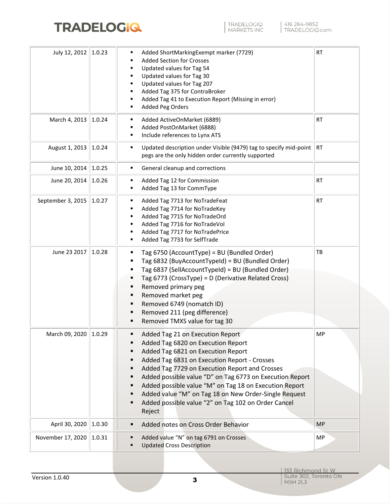

| July 12, 2012           | 1.0.23 | Added ShortMarkingExempt marker (7729)<br>٠<br><b>Added Section for Crosses</b><br>Updated values for Tag 54<br>Updated values for Tag 30<br>Updated values for Tag 207<br>Added Tag 375 for ContraBroker<br>Added Tag 41 to Execution Report (Missing in error)                                                                                                                                                                                                                                                                 | RT                       |
|-------------------------|--------|----------------------------------------------------------------------------------------------------------------------------------------------------------------------------------------------------------------------------------------------------------------------------------------------------------------------------------------------------------------------------------------------------------------------------------------------------------------------------------------------------------------------------------|--------------------------|
| March 4, 2013           | 1.0.24 | Added Peg Orders<br>٠<br>Added ActiveOnMarket (6889)<br>Added PostOnMarket (6888)                                                                                                                                                                                                                                                                                                                                                                                                                                                | <b>RT</b>                |
| August 1, 2013          | 1.0.24 | Include references to Lynx ATS<br>٠<br>Updated description under Visible (9479) tag to specify mid-point<br>٠                                                                                                                                                                                                                                                                                                                                                                                                                    | $\overline{\mathsf{RT}}$ |
|                         |        | pegs are the only hidden order currently supported                                                                                                                                                                                                                                                                                                                                                                                                                                                                               |                          |
| June 10, 2014           | 1.0.25 | General cleanup and corrections<br>٠                                                                                                                                                                                                                                                                                                                                                                                                                                                                                             |                          |
| June 20, 2014           | 1.0.26 | Added Tag 12 for Commission<br>٠<br>Added Tag 13 for CommType                                                                                                                                                                                                                                                                                                                                                                                                                                                                    | RT                       |
| September 3, 2015       | 1.0.27 | Added Tag 7713 for NoTradeFeat<br>٠<br>Added Tag 7714 for NoTradeKey<br>Added Tag 7715 for NoTradeOrd<br>٠<br>Added Tag 7716 for NoTradeVol<br>Added Tag 7717 for NoTradePrice<br>■<br>Added Tag 7733 for SelfTrade<br>٠                                                                                                                                                                                                                                                                                                         | RT                       |
| June 23 2017            | 1.0.28 | Tag 6750 (AccountType) = BU (Bundled Order)<br>п<br>Tag 6832 (BuyAccountTypeId) = BU (Bundled Order)<br>п<br>Tag 6837 (SellAccountTypeId) = BU (Bundled Order)<br>$\blacksquare$<br>Tag 6773 (CrossType) = D (Derivative Related Cross)<br>٠<br>Removed primary peg<br>Removed market peg<br>٠<br>Removed 6749 (nomatch ID)<br>٠<br>Removed 211 (peg difference)<br>п<br>Removed TMXS value for tag 30<br>п                                                                                                                      | TB                       |
| March 09, 2020   1.0.29 |        | Added Tag 21 on Execution Report<br>п<br>Added Tag 6820 on Execution Report<br>Added Tag 6821 on Execution Report<br>п<br>Added Tag 6831 on Execution Report - Crosses<br>п<br>Added Tag 7729 on Execution Report and Crosses<br>$\blacksquare$<br>Added possible value "D" on Tag 6773 on Execution Report<br>п<br>Added possible value "M" on Tag 18 on Execution Report<br>п<br>Added value "M" on Tag 18 on New Order-Single Request<br>$\blacksquare$<br>Added possible value "2" on Tag 102 on Order Cancel<br>٠<br>Reject | MP                       |
| April 30, 2020          | 1.0.30 | Added notes on Cross Order Behavior<br>$\blacksquare$                                                                                                                                                                                                                                                                                                                                                                                                                                                                            | <b>MP</b>                |
| November 17, 2020       | 1.0.31 | Added value "N" on tag 6791 on Crosses<br><b>Updated Cross Description</b>                                                                                                                                                                                                                                                                                                                                                                                                                                                       | <b>MP</b>                |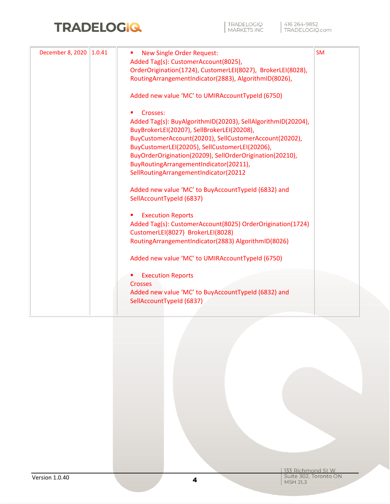| December 8, 2020 | 1.0.41 | <b>New Single Order Request:</b><br>ш                        | <b>SM</b> |
|------------------|--------|--------------------------------------------------------------|-----------|
|                  |        | Added Tag(s): CustomerAccount(8025),                         |           |
|                  |        | OrderOrigination(1724), CustomerLEI(8027), BrokerLEI(8028),  |           |
|                  |        | RoutingArrangementIndicator(2883), AlgorithmID(8026),        |           |
|                  |        | Added new value 'MC' to UMIRAccountTypeId (6750)             |           |
|                  |        | Crosses:                                                     |           |
|                  |        | Added Tag(s): BuyAlgorithmID(20203), SellAlgorithmID(20204), |           |
|                  |        | BuyBrokerLEI(20207), SellBrokerLEI(20208),                   |           |
|                  |        | BuyCustomerAccount(20201), SellCustomerAccount(20202),       |           |
|                  |        | BuyCustomerLEI(20205), SellCustomerLEI(20206),               |           |
|                  |        | BuyOrderOrigination(20209), SellOrderOrigination(20210),     |           |
|                  |        | BuyRoutingArrangementIndicator(20211),                       |           |
|                  |        | SellRoutingArrangementIndicator(20212                        |           |
|                  |        | Added new value 'MC' to BuyAccountTypeId (6832) and          |           |
|                  |        | SellAccountTypeId (6837)                                     |           |
|                  |        | <b>Execution Reports</b><br>ш                                |           |
|                  |        | Added Tag(s): CustomerAccount(8025) OrderOrigination(1724)   |           |
|                  |        | CustomerLEI(8027) BrokerLEI(8028)                            |           |
|                  |        | RoutingArrangementIndicator(2883) AlgorithmID(8026)          |           |
|                  |        | Added new value 'MC' to UMIRAccountTypeId (6750)             |           |
|                  |        | <b>Execution Reports</b>                                     |           |
|                  |        | <b>Crosses</b>                                               |           |
|                  |        | Added new value 'MC' to BuyAccountTypeId (6832) and          |           |
|                  |        | SellAccountTypeId (6837)                                     |           |

| 133 Richmond St W<br>| Suite 302, Toronto ON<br>| M5H 2L3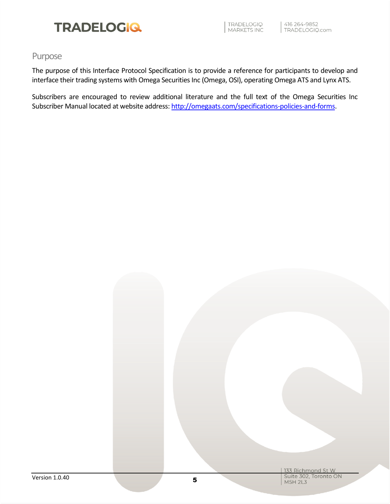

TRADELOGIQ<br>MARKETS INC

#### <span id="page-5-0"></span>Purpose

The purpose of this Interface Protocol Specification is to provide a reference for participants to develop and interface their trading systems with Omega Securities Inc (Omega, OSI), operating Omega ATS and Lynx ATS.

Subscribers are encouraged to review additional literature and the full text of the Omega Securities Inc Subscriber Manual located at website address: [http://omegaats.com/specifications-policies-and-forms.](http://omegaats.com/specifications-policies-and-forms)

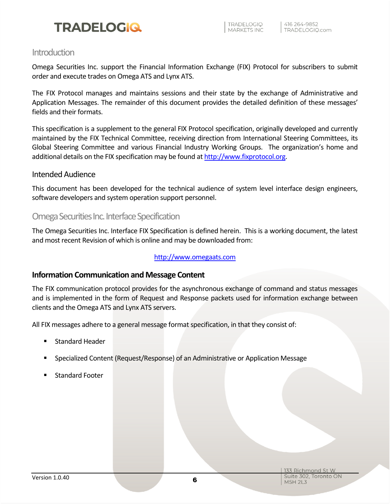#### <span id="page-6-0"></span>**Introduction**

Omega Securities Inc. support the Financial Information Exchange (FIX) Protocol for subscribers to submit order and execute trades on Omega ATS and Lynx ATS.

The FIX Protocol manages and maintains sessions and their state by the exchange of Administrative and Application Messages. The remainder of this document provides the detailed definition of these messages' fields and their formats.

This specification is a supplement to the general FIX Protocol specification, originally developed and currently maintained by the FIX Technical Committee, receiving direction from International Steering Committees, its Global Steering Committee and various Financial Industry Working Groups. The organization's home and additional details on the FIX specification may be found a[t http://www.fixprotocol.org.](http://www.fixprotocol.org/)

#### <span id="page-6-1"></span>Intended Audience

This document has been developed for the technical audience of system level interface design engineers, software developers and system operation support personnel.

#### <span id="page-6-2"></span>Omega Securities Inc.Interface Specification

The Omega Securities Inc. Interface FIX Specification is defined herein. This is a working document, the latest and most recent Revision of which is online and may be downloaded from:

#### [http://www.omegaats.com](http://www.omegaats.com/)

#### <span id="page-6-3"></span>**Information Communication and Message Content**

The FIX communication protocol provides for the asynchronous exchange of command and status messages and is implemented in the form of Request and Response packets used for information exchange between clients and the Omega ATS and Lynx ATS servers.

All FIX messages adhere to a general message format specification, in that they consist of:

- Standard Header
- Specialized Content (Request/Response) of an Administrative or Application Message
- **Standard Footer**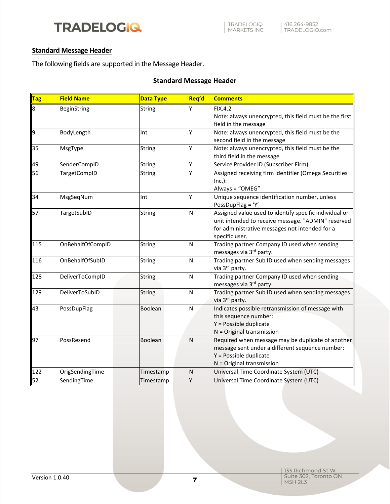#### <span id="page-7-0"></span>**Standard Message Header**

The following fields are supported in the Message Header.

#### **Standard Message Header**

| <b>Tag</b> | <b>Field Name</b>   | <b>Data Type</b> | Req'd        | <b>Comments</b>                                                                                                                                                                  |
|------------|---------------------|------------------|--------------|----------------------------------------------------------------------------------------------------------------------------------------------------------------------------------|
| 8          | BeginString         | String           | Υ            | <b>FIX.4.2</b><br>Note: always unencrypted, this field must be the first<br>field in the message                                                                                 |
| 9          | BodyLength          | Int              | Y            | Note: always unencrypted, this field must be the<br>second field in the message                                                                                                  |
| 35         | MsgType             | String           | Ý            | Note: always unencrypted, this field must be the<br>third field in the message                                                                                                   |
| 49         | SenderCompID        | String           | Ý            | Service Provider ID (Subscriber Firm)                                                                                                                                            |
| 56         | <b>TargetCompID</b> | <b>String</b>    | Ý            | Assigned receiving firm identifier (Omega Securities<br>$Inc.$ ):<br>Always = "OMEG"                                                                                             |
| 34         | MsgSeqNum           | Int              | Y            | Unique sequence identification number, unless<br>PossDupFlag = 'Y'                                                                                                               |
| 57         | TargetSubID         | String           | N            | Assigned value used to identify specific individual or<br>unit intended to receive message. "ADMIN" reserved<br>for administrative messages not intended for a<br>specific user. |
| 115        | OnBehalfOfCompID    | <b>String</b>    | Ν            | Trading partner Company ID used when sending<br>messages via 3 <sup>rd</sup> party.                                                                                              |
| 116        | OnBehalfOfSubID     | String           | Ν            | Trading partner Sub ID used when sending messages<br>via 3 <sup>rd</sup> party.                                                                                                  |
| 128        | DeliverToCompID     | <b>String</b>    | N            | Trading partner Company ID used when sending<br>messages via 3 <sup>rd</sup> party.                                                                                              |
| 129        | DeliverToSubID      | String           | N            | Trading partner Sub ID used when sending messages<br>via 3 <sup>rd</sup> party.                                                                                                  |
| 43         | PossDupFlag         | Boolean          | N            | Indicates possible retransmission of message with<br>this sequence number:<br>Y = Possible duplicate<br>$N = Original$ transmission                                              |
| 97         | PossResend          | Boolean          | $\mathsf{N}$ | Required when message may be duplicate of another<br>message sent under a different sequence number:<br>Y = Possible duplicate<br>$N =$ Original transmission                    |
| 122        | OrigSendingTime     | Timestamp        | Ν            | Universal Time Coordinate System (UTC)                                                                                                                                           |
| 52         | SendingTime         | Timestamp        | Υ            | Universal Time Coordinate System (UTC)                                                                                                                                           |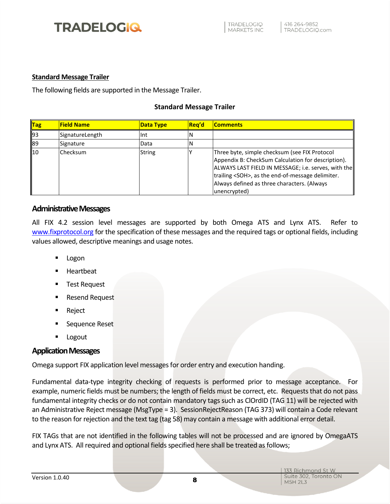#### <span id="page-8-0"></span>**Standard Message Trailer**

The following fields are supported in the Message Trailer.

#### **Standard Message Trailer**

| $\ $ Tag | <b>Field Name</b> | <b>Data Type</b> | Rea'd | <b>Comments</b>                                                                                                                                                                                                                                                                       |
|----------|-------------------|------------------|-------|---------------------------------------------------------------------------------------------------------------------------------------------------------------------------------------------------------------------------------------------------------------------------------------|
| 93       | SignatureLength   | Int              |       |                                                                                                                                                                                                                                                                                       |
| 89       | Signature         | Data             | 'N    |                                                                                                                                                                                                                                                                                       |
| 10       | Checksum          | <b>String</b>    |       | Three byte, simple checksum (see FIX Protocol<br>Appendix B: CheckSum Calculation for description).<br>ALWAYS LAST FIELD IN MESSAGE; i.e. serves, with the<br>trailing <soh>, as the end-of-message delimiter.<br/>Always defined as three characters. (Always<br/>unencrypted)</soh> |

#### <span id="page-8-1"></span>**Administrative Messages**

All FIX 4.2 session level messages are supported by both Omega ATS and Lynx ATS. Refer to [www.fixprotocol.org](../AppData/Local/Microsoft/Windows/INetCache/Content.Outlook/AppData/Local/Microsoft/Windows/INetCache/AppData/Local/Microsoft/Windows/INetCache/Content.Outlook/AppData/Local/Microsoft/Windows/INetCache/Content.Outlook/AppData/Local/Microsoft/Documents%20and%20Settings/rtung/Local%20Settings/Temporary%20Internet%20Files/OLK5E/www.fixprotocol.org) for the specification of these messages and the required tags or optional fields, including values allowed, descriptive meanings and usage notes.

- Logon
- **Heartbeat**
- **Test Request**
- **Resend Request**
- **Reject**
- Sequence Reset
- **Logout**

#### <span id="page-8-2"></span>**Application Messages**

Omega support FIX application level messages for order entry and execution handing.

Fundamental data-type integrity checking of requests is performed prior to message acceptance. For example, numeric fields must be numbers; the length of fields must be correct, etc. Requests that do not pass fundamental integrity checks or do not contain mandatory tags such as ClOrdID (TAG 11) will be rejected with an Administrative Reject message (MsgType = 3). SessionRejectReason (TAG 373) will contain a Code relevant to the reason for rejection and the text tag (tag 58) may contain a message with additional error detail.

FIX TAGs that are not identified in the following tables will not be processed and are ignored by OmegaATS and Lynx ATS. All required and optional fields specified here shall be treated as follows;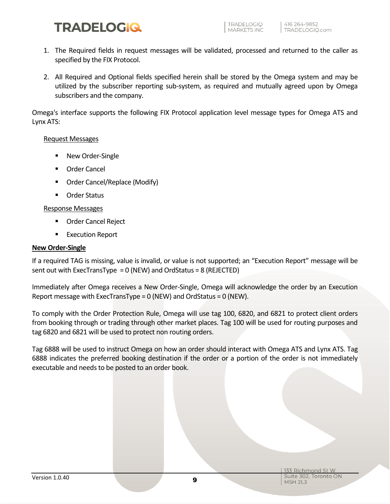- 1. The Required fields in request messages will be validated, processed and returned to the caller as specified by the FIX Protocol.
- 2. All Required and Optional fields specified herein shall be stored by the Omega system and may be utilized by the subscriber reporting sub-system, as required and mutually agreed upon by Omega subscribers and the company.

Omega's interface supports the following FIX Protocol application level message types for Omega ATS and Lynx ATS:

#### Request Messages

- New Order-Single
- Order Cancel
- Order Cancel/Replace (Modify)
- Order Status

#### Response Messages

- Order Cancel Reject
- Execution Report

#### <span id="page-9-0"></span>**New Order-Single**

If a required TAG is missing, value is invalid, or value is not supported; an "Execution Report" message will be sent out with ExecTransType = 0 (NEW) and OrdStatus = 8 (REJECTED)

Immediately after Omega receives a New Order-Single, Omega will acknowledge the order by an Execution Report message with ExecTransType = 0 (NEW) and OrdStatus = 0 (NEW).

To comply with the Order Protection Rule, Omega will use tag 100, 6820, and 6821 to protect client orders from booking through or trading through other market places. Tag 100 will be used for routing purposes and tag 6820 and 6821 will be used to protect non routing orders.

Tag 6888 will be used to instruct Omega on how an order should interact with Omega ATS and Lynx ATS. Tag 6888 indicates the preferred booking destination if the order or a portion of the order is not immediately executable and needs to be posted to an order book.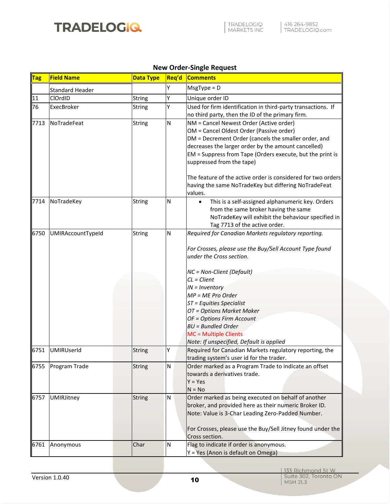

#### **New Order-Single Request**

| <b>Tag</b> | <b>Field Name</b>      | <b>Data Type</b> | Req'd | <b>Comments</b>                                                                                                                                                                                                                                                                                                                                                                                                                 |
|------------|------------------------|------------------|-------|---------------------------------------------------------------------------------------------------------------------------------------------------------------------------------------------------------------------------------------------------------------------------------------------------------------------------------------------------------------------------------------------------------------------------------|
|            | <b>Standard Header</b> |                  | Y     | $MsgType = D$                                                                                                                                                                                                                                                                                                                                                                                                                   |
| 11         | ClOrdID                | <b>String</b>    | Υ     | Unique order ID                                                                                                                                                                                                                                                                                                                                                                                                                 |
| 76         | ExecBroker             | <b>String</b>    | Υ     | Used for firm identification in third-party transactions. If<br>no third party, then the ID of the primary firm.                                                                                                                                                                                                                                                                                                                |
| 7713       | NoTradeFeat            | <b>String</b>    | N     | NM = Cancel Newest Order (Active order)<br>OM = Cancel Oldest Order (Passive order)<br>DM = Decrement Order (cancels the smaller order, and<br>decreases the larger order by the amount cancelled)<br>EM = Suppress from Tape (Orders execute, but the print is<br>suppressed from the tape)<br>The feature of the active order is considered for two orders<br>having the same NoTradeKey but differing NoTradeFeat<br>values. |
| 7714       | NoTradeKey             | <b>String</b>    | N     | This is a self-assigned alphanumeric key. Orders<br>$\bullet$<br>from the same broker having the same<br>NoTradeKey will exhibit the behaviour specified in<br>Tag 7713 of the active order.                                                                                                                                                                                                                                    |
| 6750       | UMIRAccountTypeId      | <b>String</b>    | Ν     | Required for Canadian Markets regulatory reporting.<br>For Crosses, please use the Buy/Sell Account Type found<br>under the Cross section.<br>NC = Non-Client (Default)<br>$CL = Client$<br>$IN = Inventory$<br>MP = ME Pro Order<br>ST = Equities Specialist<br>OT = Options Market Maker<br>OF = Options Firm Account<br><b>BU</b> = Bundled Order<br>MC = Multiple Clients<br>Note: If unspecified, Default is applied       |
| 6751       | <b>UMIRUserId</b>      | <b>String</b>    | Y     | Required for Canadian Markets regulatory reporting, the<br>trading system's user id for the trader.                                                                                                                                                                                                                                                                                                                             |
| 6755       | Program Trade          | <b>String</b>    | N     | Order marked as a Program Trade to indicate an offset<br>towards a derivatives trade.<br>$Y = Yes$<br>$N = No$                                                                                                                                                                                                                                                                                                                  |
| 6757       | UMIRJitney             | <b>String</b>    | N     | Order marked as being executed on behalf of another<br>broker, and provided here as their numeric Broker ID.<br>Note: Value is 3-Char Leading Zero-Padded Number.<br>For Crosses, please use the Buy/Sell Jitney found under the<br>Cross section.                                                                                                                                                                              |
| 6761       | Anonymous              | Char             | N     | Flag to indicate if order is anonymous.<br>Y = Yes (Anon is default on Omega)                                                                                                                                                                                                                                                                                                                                                   |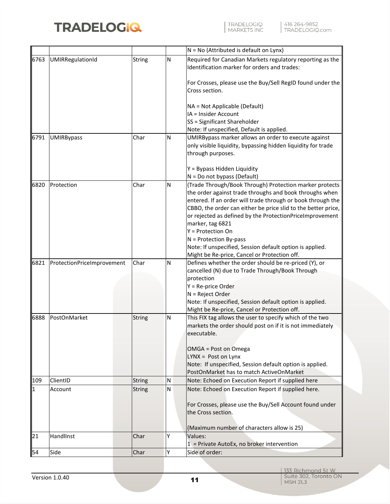

|              |                            |               |   | $N = No$ (Attributed is default on Lynx)                                                                                                  |
|--------------|----------------------------|---------------|---|-------------------------------------------------------------------------------------------------------------------------------------------|
| 6763         | UMIRRegulationId           | <b>String</b> | N | Required for Canadian Markets regulatory reporting as the<br>Identification marker for orders and trades:                                 |
|              |                            |               |   | For Crosses, please use the Buy/Sell RegID found under the<br>Cross section.                                                              |
|              |                            |               |   | NA = Not Applicable (Default)                                                                                                             |
|              |                            |               |   | IA = Insider Account                                                                                                                      |
|              |                            |               |   | SS = Significant Shareholder                                                                                                              |
|              |                            |               |   | Note: If unspecified, Default is applied.                                                                                                 |
| 6791         | <b>UMIRBypass</b>          | Char          | N | UMIRBypass marker allows an order to execute against<br>only visible liquidity, bypassing hidden liquidity for trade<br>through purposes. |
|              |                            |               |   | Y = Bypass Hidden Liquidity                                                                                                               |
|              |                            |               |   | $N = Do$ not bypass (Default)                                                                                                             |
| 6820         | Protection                 | Char          | N | (Trade Through/Book Through) Protection marker protects                                                                                   |
|              |                            |               |   | the order against trade throughs and book throughs when                                                                                   |
|              |                            |               |   | entered. If an order will trade through or book through the                                                                               |
|              |                            |               |   | CBBO, the order can either be price slid to the better price,                                                                             |
|              |                            |               |   | or rejected as defined by the ProtectionPriceImprovement                                                                                  |
|              |                            |               |   | marker, tag 6821                                                                                                                          |
|              |                            |               |   | $Y =$ Protection On                                                                                                                       |
|              |                            |               |   | $N =$ Protection By-pass                                                                                                                  |
|              |                            |               |   | Note: If unspecified, Session default option is applied.<br>Might be Re-price, Cancel or Protection off.                                  |
| 6821         | ProtectionPriceImprovement | Char          | N | Defines whether the order should be re-priced (Y), or                                                                                     |
|              |                            |               |   | cancelled (N) due to Trade Through/Book Through                                                                                           |
|              |                            |               |   | protection                                                                                                                                |
|              |                            |               |   | $Y = Re$ -price Order                                                                                                                     |
|              |                            |               |   | $N =$ Reject Order                                                                                                                        |
|              |                            |               |   | Note: If unspecified, Session default option is applied.                                                                                  |
|              |                            |               |   | Might be Re-price, Cancel or Protection off.                                                                                              |
| 6888         | PostOnMarket               | <b>String</b> | N | This FIX tag allows the user to specify which of the two<br>markets the order should post on if it is not immediately<br>executable.      |
|              |                            |               |   | OMGA = Post on Omega                                                                                                                      |
|              |                            |               |   | $LYNX = Post on Lynx$                                                                                                                     |
|              |                            |               |   | Note: If unspecified, Session default option is applied.                                                                                  |
|              |                            |               |   | PostOnMarket has to match ActiveOnMarket                                                                                                  |
| 109          | ClientID                   | <b>String</b> | N | Note: Echoed on Execution Report if supplied here                                                                                         |
| $\mathbf{1}$ | Account                    | <b>String</b> | N | Note: Echoed on Execution Report if supplied here.                                                                                        |
|              |                            |               |   | For Crosses, please use the Buy/Sell Account found under                                                                                  |
|              |                            |               |   | the Cross section.                                                                                                                        |
|              |                            |               |   | (Maximum number of characters allow is 25)                                                                                                |
| 21           | HandlInst                  | Char          | Υ | Values:                                                                                                                                   |
|              |                            |               |   | $1$ = Private AutoEx, no broker intervention                                                                                              |
| 54           | Side                       | Char          | Υ | Side of order:                                                                                                                            |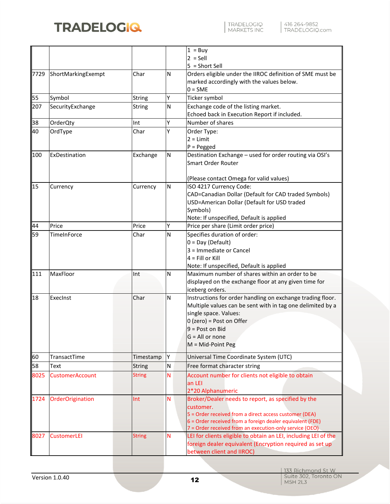

| TRADELOGIQ<br>| MARKETS INC

|      |                        |               |   | $1 = Buy$                                                                     |
|------|------------------------|---------------|---|-------------------------------------------------------------------------------|
|      |                        |               |   | $2 =$ Sell                                                                    |
|      |                        |               |   | $5 = Short Sell$                                                              |
| 7729 | ShortMarkingExempt     | Char          | Ν | Orders eligible under the IIROC definition of SME must be                     |
|      |                        |               |   | marked accordingly with the values below.                                     |
|      |                        |               |   | $0 = SME$                                                                     |
| 55   | Symbol                 | <b>String</b> | Υ | Ticker symbol                                                                 |
| 207  | SecurityExchange       | <b>String</b> | N | Exchange code of the listing market.                                          |
|      |                        |               |   | Echoed back in Execution Report if included.                                  |
| 38   | OrderQty               | Int           | Y | Number of shares                                                              |
| 40   | OrdType                | Char          | Υ | Order Type:                                                                   |
|      |                        |               |   | $2 = Limit$                                                                   |
|      |                        |               |   | $P = Pegged$                                                                  |
| 100  | ExDestination          | Exchange      | N | Destination Exchange - used for order routing via OSI's                       |
|      |                        |               |   | <b>Smart Order Router</b>                                                     |
|      |                        |               |   |                                                                               |
|      |                        |               |   | (Please contact Omega for valid values)                                       |
| 15   | Currency               | Currency      | N | ISO 4217 Currency Code:                                                       |
|      |                        |               |   | CAD=Canadian Dollar (Default for CAD traded Symbols)                          |
|      |                        |               |   | USD=American Dollar (Default for USD traded                                   |
|      |                        |               |   | Symbols)                                                                      |
|      |                        |               |   | Note: If unspecified, Default is applied                                      |
| 44   | Price                  | Price         | Υ | Price per share (Limit order price)                                           |
| 59   | TimeInForce            | Char          | N | Specifies duration of order:                                                  |
|      |                        |               |   | $0 = Day (Default)$                                                           |
|      |                        |               |   | 3 = Immediate or Cancel                                                       |
|      |                        |               |   | $4 =$ Fill or Kill                                                            |
|      |                        |               |   | Note: If unspecified, Default is applied                                      |
| 111  | MaxFloor               | Int           | N | Maximum number of shares within an order to be                                |
|      |                        |               |   | displayed on the exchange floor at any given time for                         |
| 18   | ExecInst               | Char          | N | iceberg orders.<br>Instructions for order handling on exchange trading floor. |
|      |                        |               |   | Multiple values can be sent with in tag one delimited by a                    |
|      |                        |               |   | single space. Values:                                                         |
|      |                        |               |   | $0$ (zero) = Post on Offer                                                    |
|      |                        |               |   | 9 = Post on Bid                                                               |
|      |                        |               |   | $G = All or none$                                                             |
|      |                        |               |   | M = Mid-Point Peg                                                             |
| 60   |                        |               | Υ |                                                                               |
|      | TransactTime           | Timestamp     |   | Universal Time Coordinate System (UTC)                                        |
| 58   | Text                   | <b>String</b> | N | Free format character string                                                  |
| 8025 | <b>CustomerAccount</b> | <b>String</b> | N | Account number for clients not eligible to obtain                             |
|      |                        |               |   | an LEI                                                                        |
|      |                        |               |   | 2*20 Alphanumeric                                                             |
| 1724 | OrderOrigination       | Int           | N | Broker/Dealer needs to report, as specified by the                            |
|      |                        |               |   | customer.<br>5 = Order received from a direct access customer (DEA)           |
|      |                        |               |   | 6 = Order received from a foreign dealer equivalent (FDE)                     |
|      |                        |               |   | 7 = Order received from an execution-only service (OEO)                       |
| 8027 | <b>CustomerLEI</b>     | <b>String</b> | N | LEI for clients eligible to obtain an LEI, including LEI of the               |
|      |                        |               |   | foreign dealer equivalent (Encryption required as set up                      |
|      |                        |               |   | between client and IIROC)                                                     |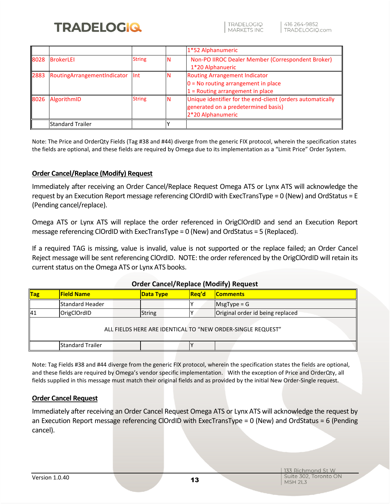

**TRADELOGIO MARKETS INC** 

|      |                             |               | 1*52 Alphanumeric                                                                                                      |
|------|-----------------------------|---------------|------------------------------------------------------------------------------------------------------------------------|
| 8028 | <b>BrokerLEI</b>            | <b>String</b> | Non-PO IIROC Dealer Member (Correspondent Broker)<br>1*20 Alphanueric                                                  |
| 2883 | RoutingArrangementIndicator | <b>Int</b>    | <b>Routing Arrangement Indicator</b><br>$0 = No$ routing arrangement in place<br>$1$ = Routing arrangement in place    |
| 8026 | AlgorithmID                 | <b>String</b> | Unique identifier for the end-client (orders automatically<br>generated on a predetermined basis)<br>2*20 Alphanumeric |
|      | Standard Trailer            |               |                                                                                                                        |

Note: The Price and OrderQty Fields (Tag #38 and #44) diverge from the generic FIX protocol, wherein the specification states the fields are optional, and these fields are required by Omega due to its implementation as a "Limit Price" Order System.

#### <span id="page-13-0"></span>**Order Cancel/Replace (Modify) Request**

Immediately after receiving an Order Cancel/Replace Request Omega ATS or Lynx ATS will acknowledge the request by an Execution Report message referencing ClOrdID with ExecTransType = 0 (New) and OrdStatus = E (Pending cancel/replace).

Omega ATS or Lynx ATS will replace the order referenced in OrigClOrdID and send an Execution Report message referencing ClOrdID with ExecTransType = 0 (New) and OrdStatus = 5 (Replaced).

If a required TAG is missing, value is invalid, value is not supported or the replace failed; an Order Cancel Reject message will be sent referencing ClOrdID. NOTE: the order referenced by the OrigClOrdID will retain its current status on the Omega ATS or Lynx ATS books.

|            |                         | <u>UTUCI Calicei/Replace</u> (WOUTH) Request |              |                                                             |
|------------|-------------------------|----------------------------------------------|--------------|-------------------------------------------------------------|
| <b>Tag</b> | <b>Field Name</b>       | <b>Data Type</b>                             | <b>Rea'd</b> | <b>Comments</b>                                             |
|            | <b>Standard Header</b>  |                                              |              | $MsgType = G$                                               |
| 41         | OrigClOrdID             | <b>String</b>                                |              | Original order id being replaced                            |
|            |                         |                                              |              | ALL FIELDS HERE ARE IDENTICAL TO "NEW ORDER-SINGLE REQUEST" |
|            | <b>Standard Trailer</b> |                                              |              |                                                             |

#### **Order Cancel/Replace (Modify) Request**

Note: Tag Fields #38 and #44 diverge from the generic FIX protocol, wherein the specification states the fields are optional, and these fields are required by Omega's vendor specific implementation. With the exception of Price and OrderQty, all fields supplied in this message must match their original fields and as provided by the initial New Order-Single request.

#### <span id="page-13-1"></span>**Order Cancel Request**

Immediately after receiving an Order Cancel Request Omega ATS or Lynx ATS will acknowledge the request by an Execution Report message referencing ClOrdID with ExecTransType = 0 (New) and OrdStatus = 6 (Pending cancel).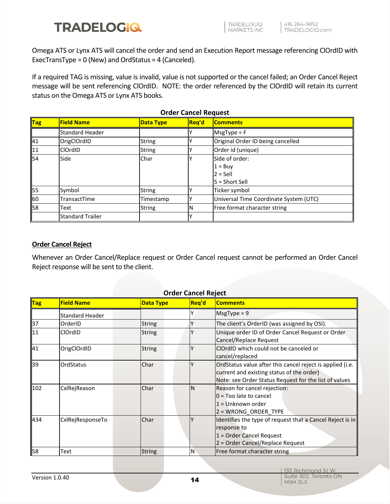Omega ATS or Lynx ATS will cancel the order and send an Execution Report message referencing ClOrdID with ExecTransType = 0 (New) and OrdStatus = 4 (Canceled).

If a required TAG is missing, value is invalid, value is not supported or the cancel failed; an Order Cancel Reject message will be sent referencing ClOrdID. NOTE: the order referenced by the ClOrdID will retain its current status on the Omega ATS or Lynx ATS books.

|                           |                         |                  | 01 ACI CANCEI INCURCIJE |                                        |
|---------------------------|-------------------------|------------------|-------------------------|----------------------------------------|
| $\overline{\mathsf{Tag}}$ | <b>Field Name</b>       | <b>Data Type</b> | Reg'd                   | <b>Comments</b>                        |
|                           | <b>Standard Header</b>  |                  |                         | $MsgType = F$                          |
| 41                        | OrigClOrdID             | <b>String</b>    |                         | Original Order ID being cancelled      |
| 11                        | <b>ClOrdID</b>          | <b>String</b>    |                         | Order id (unique)                      |
| 54                        | Side                    | Char             |                         | Side of order:                         |
|                           |                         |                  |                         | $1 = Buv$                              |
|                           |                         |                  |                         | $2 =$ Sell                             |
|                           |                         |                  |                         | $5 =$ Short Sell                       |
| 55                        | Symbol                  | <b>String</b>    |                         | Ticker symbol                          |
| 60                        | TransactTime            | Timestamp        |                         | Universal Time Coordinate System (UTC) |
| 58                        | Text                    | <b>String</b>    | N                       | Free format character string           |
|                           | <b>Standard Trailer</b> |                  |                         |                                        |

#### **Order Cancel Request**

#### <span id="page-14-0"></span>**Order Cancel Reject**

Whenever an Order Cancel/Replace request or Order Cancel request cannot be performed an Order Cancel Reject response will be sent to the client.

| $\vert$ Tag | <b>Order Cancel Reject</b><br><b>Field Name</b><br><b>Comments</b> |                  |       |                                                                                                                                                                 |  |  |
|-------------|--------------------------------------------------------------------|------------------|-------|-----------------------------------------------------------------------------------------------------------------------------------------------------------------|--|--|
|             |                                                                    | <b>Data Type</b> | Req'd |                                                                                                                                                                 |  |  |
|             | <b>Standard Header</b>                                             |                  |       | $MsgType = 9$                                                                                                                                                   |  |  |
| 37          | OrderID                                                            | <b>String</b>    |       | The client's OrderID (was assigned by OSI).                                                                                                                     |  |  |
| 11          | ClOrdID                                                            | <b>String</b>    |       | Unique order ID of Order Cancel Request or Order<br>Cancel/Replace Request                                                                                      |  |  |
| 41          | OrigClOrdID                                                        | <b>String</b>    |       | CIOrdID which could not be canceled or<br>cancel/replaced                                                                                                       |  |  |
| 39          | OrdStatus                                                          | Char             |       | OrdStatus value after this cancel reject is applied (i.e.<br>current and existing status of the order)<br>Note: see Order Status Request for the list of values |  |  |
| 102         | CxlRejReason                                                       | Char             | N     | Reason for cancel rejection:<br>0 = Too late to cancel<br>1 = Unknown order<br>$2 = WRONG$ ORDER TYPE                                                           |  |  |
| 434         | CxlRejResponseTo                                                   | Char             |       | Identifies the type of request that a Cancel Reject is in<br>response to<br>1 = Order Cancel Request<br>2 = Order Cancel/Replace Request                        |  |  |
| 58          | Text                                                               | <b>String</b>    | N     | Free format character string                                                                                                                                    |  |  |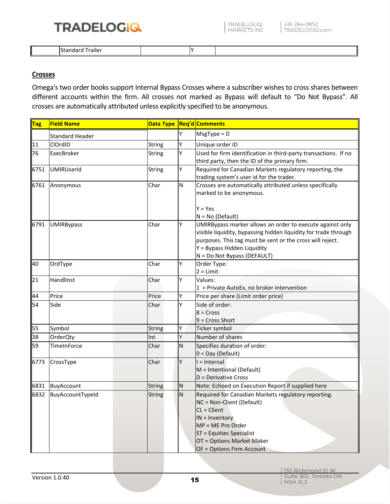TRADELOGIQ<br>MARKETS INC

| $\overline{\phantom{a}}$<br>. 1115 | עו |  |
|------------------------------------|----|--|

#### <span id="page-15-0"></span>**Crosses**

Omega's two order books support Internal Bypass Crosses where a subscriber wishes to cross shares between different accounts within the firm. All crosses not marked as Bypass will default to "Do Not Bypass". All crosses are automatically attributed unless explicitly specified to be anonymous.

| $\overline{\mathsf{Tag}}$ | <b>Field Name</b>      |               |             | Data Type   Req'd   Comments                                    |
|---------------------------|------------------------|---------------|-------------|-----------------------------------------------------------------|
|                           | <b>Standard Header</b> |               | Y           | $MsgType = D$                                                   |
| $\overline{11}$           | ClOrdID                | String        | Υ           | Unique order ID                                                 |
| 76                        | ExecBroker             | <b>String</b> | Υ           | Used for firm identification in third-party transactions. If no |
|                           |                        |               |             | third party, then the ID of the primary firm.                   |
| 6751                      | <b>UMIRUserId</b>      | <b>String</b> | Y           | Required for Canadian Markets regulatory reporting, the         |
|                           |                        |               |             | trading system's user id for the trader.                        |
| 6761                      | Anonymous              | Char          | ${\sf N}$   | Crosses are automatically attributed unless specifically        |
|                           |                        |               |             | marked to be anonymous.                                         |
|                           |                        |               |             | $Y = Yes$                                                       |
|                           |                        |               |             | $N = No (Default)$                                              |
| 6791                      | <b>UMIRBypass</b>      | Char          | Υ           | UMIRBypass marker allows an order to execute against only       |
|                           |                        |               |             | visible liquidity, bypassing hidden liquidity for trade through |
|                           |                        |               |             | purposes. This tag must be sent or the cross will reject.       |
|                           |                        |               |             | Y = Bypass Hidden Liquidity                                     |
|                           |                        |               |             | N = Do Not Bypass (DEFAULT)                                     |
| 40                        | OrdType                | Char          | Y           | Order Type:                                                     |
|                           |                        |               |             | $2 = Limit$                                                     |
| 21                        | HandlInst              | Char          | Y           | Values:                                                         |
|                           |                        |               |             | $1$ = Private AutoEx, no broker intervention                    |
| 44                        | Price                  | Price         | Y           | Price per share (Limit order price)                             |
| 54                        | Side                   | Char          | Υ           | Side of order:                                                  |
|                           |                        |               |             | $8 = Cross$                                                     |
|                           |                        |               |             | $9 = Cross Short$                                               |
| 55                        | Symbol                 | <b>String</b> | Y           | Ticker symbol                                                   |
| 38                        | OrderQty               | Int           | Y           | Number of shares                                                |
| 59                        | TimeInForce            | Char          | N           | Specifies duration of order:                                    |
|                           |                        |               |             | $0 = Day (Default)$                                             |
| 6773                      | CrossType              | Char          | Y           | $l = Internal$                                                  |
|                           |                        |               |             | M = Intentional (Default)                                       |
|                           |                        |               |             | D = Derivative Cross                                            |
| 6831                      | BuyAccount             | <b>String</b> | ${\sf N}$   | Note: Echoed on Execution Report if supplied here               |
| 6832                      | BuyAccountTypeId       | <b>String</b> | $\mathsf N$ | Required for Canadian Markets regulatory reporting.             |
|                           |                        |               |             | NC = Non-Client (Default)<br>$CL = Client$                      |
|                           |                        |               |             | $IN = Inventory$                                                |
|                           |                        |               |             | MP = ME Pro Order                                               |
|                           |                        |               |             | ST = Equities Specialist                                        |
|                           |                        |               |             | OT = Options Market Maker                                       |
|                           |                        |               |             | OF = Options Firm Account                                       |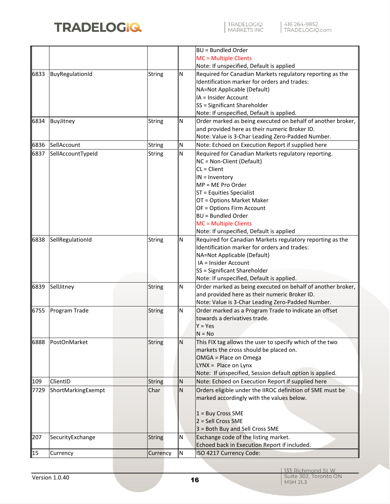

|      |                    |               |                | <b>BU = Bundled Order</b>                                                                                     |
|------|--------------------|---------------|----------------|---------------------------------------------------------------------------------------------------------------|
|      |                    |               |                | MC = Multiple Clients                                                                                         |
|      |                    |               |                | Note: If unspecified, Default is applied                                                                      |
| 6833 | BuyRegulationId    | String        | Ν              | Required for Canadian Markets regulatory reporting as the                                                     |
|      |                    |               |                | Identification marker for orders and trades:                                                                  |
|      |                    |               |                | NA=Not Applicable (Default)                                                                                   |
|      |                    |               |                | IA = Insider Account                                                                                          |
|      |                    |               |                | SS = Significant Shareholder                                                                                  |
|      |                    |               |                | Note: If unspecified, Default is applied.                                                                     |
| 6834 | BuyJitney          | String        | Ν              | Order marked as being executed on behalf of another broker,                                                   |
|      |                    |               |                | and provided here as their numeric Broker ID.                                                                 |
|      |                    |               |                | Note: Value is 3-Char Leading Zero-Padded Number.                                                             |
| 6836 | SellAccount        | String        | N              | Note: Echoed on Execution Report if supplied here                                                             |
| 6837 | SellAccountTypeId  | String        | N              | Required for Canadian Markets regulatory reporting.                                                           |
|      |                    |               |                | NC = Non-Client (Default)                                                                                     |
|      |                    |               |                | $CL = Client$                                                                                                 |
|      |                    |               |                | $IN = Inventory$                                                                                              |
|      |                    |               |                | MP = ME Pro Order                                                                                             |
|      |                    |               |                | ST = Equities Specialist                                                                                      |
|      |                    |               |                | OT = Options Market Maker                                                                                     |
|      |                    |               |                | OF = Options Firm Account                                                                                     |
|      |                    |               |                | <b>BU = Bundled Order</b>                                                                                     |
|      |                    |               |                | MC = Multiple Clients                                                                                         |
|      |                    |               |                | Note: If unspecified, Default is applied                                                                      |
| 6838 | SellRegulationId   | String        | Ν              | Required for Canadian Markets regulatory reporting as the                                                     |
|      |                    |               |                | Identification marker for orders and trades:                                                                  |
|      |                    |               |                | NA=Not Applicable (Default)                                                                                   |
|      |                    |               |                | IA = Insider Account                                                                                          |
|      |                    |               |                | SS = Significant Shareholder                                                                                  |
|      |                    |               |                | Note: If unspecified, Default is applied.                                                                     |
| 6839 | SellJitney         | <b>String</b> | Ν              | Order marked as being executed on behalf of another broker,                                                   |
|      |                    |               |                | and provided here as their numeric Broker ID.                                                                 |
|      |                    |               |                | Note: Value is 3-Char Leading Zero-Padded Number.                                                             |
| 6755 | Program Trade      | <b>String</b> | Ν              | Order marked as a Program Trade to indicate an offset                                                         |
|      |                    |               |                | towards a derivatives trade.                                                                                  |
|      |                    |               |                | $Y = Yes$                                                                                                     |
|      |                    |               |                | $N = No$                                                                                                      |
| 6888 | PostOnMarket       | <b>String</b> | Ν              | This FIX tag allows the user to specify which of the two                                                      |
|      |                    |               |                | markets the cross should be placed on.                                                                        |
|      |                    |               |                | OMGA = Place on Omega                                                                                         |
|      |                    |               |                | LYNX = Place on Lynx                                                                                          |
| 109  | ClientID           | <b>String</b> |                | Note: If unspecified, Session default option is applied.<br>Note: Echoed on Execution Report if supplied here |
| 7729 | ShortMarkingExempt | Char          | Ν<br>${\sf N}$ | Orders eligible under the IIROC definition of SME must be                                                     |
|      |                    |               |                | marked accordingly with the values below.                                                                     |
|      |                    |               |                |                                                                                                               |
|      |                    |               |                | $1 =$ Buy Cross SME                                                                                           |
|      |                    |               |                | 2 = Sell Cross SME                                                                                            |
|      |                    |               |                | 3 = Both Buy and Sell Cross SME                                                                               |
| 207  | SecurityExchange   | <b>String</b> | Ν              | Exchange code of the listing market.                                                                          |
|      |                    |               |                | Echoed back in Execution Report if included.                                                                  |
| 15   | Currency           | Currency      | N              | ISO 4217 Currency Code:                                                                                       |
|      |                    |               |                |                                                                                                               |

| 133 Richmond St W<br>| Suite 302, Toronto ON<br>| M5H 2L3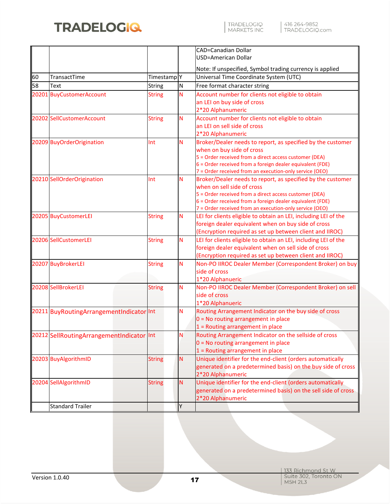

|    |                                           |                        |   | CAD=Canadian Dollar                                                                                                 |  |
|----|-------------------------------------------|------------------------|---|---------------------------------------------------------------------------------------------------------------------|--|
|    |                                           |                        |   | USD=American Dollar                                                                                                 |  |
|    |                                           |                        |   | Note: If unspecified, Symbol trading currency is applied                                                            |  |
| 60 | TransactTime                              | Timestamp <sup>Y</sup> |   | Universal Time Coordinate System (UTC)                                                                              |  |
| 58 | Text                                      | <b>String</b>          | N | Free format character string                                                                                        |  |
|    | 20201 BuyCustomerAccount                  | <b>String</b>          | N | Account number for clients not eligible to obtain                                                                   |  |
|    |                                           |                        |   | an LEI on buy side of cross                                                                                         |  |
|    |                                           |                        |   | 2*20 Alphanumeric                                                                                                   |  |
|    | 20202 SellCustomerAccount                 | <b>String</b>          | N | Account number for clients not eligible to obtain                                                                   |  |
|    |                                           |                        |   | an LEI on sell side of cross                                                                                        |  |
|    |                                           |                        |   | 2*20 Alphanumeric                                                                                                   |  |
|    | 20209 BuyOrderOrigination                 | Int                    | N | Broker/Dealer needs to report, as specified by the customer                                                         |  |
|    |                                           |                        |   | when on buy side of cross                                                                                           |  |
|    |                                           |                        |   | 5 = Order received from a direct access customer (DEA)                                                              |  |
|    |                                           |                        |   | 6 = Order received from a foreign dealer equivalent (FDE)                                                           |  |
|    |                                           |                        |   | 7 = Order received from an execution-only service (OEO)                                                             |  |
|    | 20210 SellOrderOrigination                | Int                    | N | Broker/Dealer needs to report, as specified by the customer                                                         |  |
|    |                                           |                        |   | when on sell side of cross                                                                                          |  |
|    |                                           |                        |   | 5 = Order received from a direct access customer (DEA)<br>6 = Order received from a foreign dealer equivalent (FDE) |  |
|    |                                           |                        |   | 7 = Order received from an execution-only service (OEO)                                                             |  |
|    | 20205 BuyCustomerLEI                      | <b>String</b>          | Ν | LEI for clients eligible to obtain an LEI, including LEI of the                                                     |  |
|    |                                           |                        |   | foreign dealer equivalent when on buy side of cross                                                                 |  |
|    |                                           |                        |   | (Encryption required as set up between client and IIROC)                                                            |  |
|    | 20206 SellCustomerLEI                     | <b>String</b>          | N | LEI for clients eligible to obtain an LEI, including LEI of the                                                     |  |
|    |                                           |                        |   | foreign dealer equivalent when on sell side of cross                                                                |  |
|    |                                           |                        |   | (Encryption required as set up between client and IIROC)                                                            |  |
|    | 20207 BuyBrokerLEI                        | <b>String</b>          | Ν | Non-PO IIROC Dealer Member (Correspondent Broker) on buy                                                            |  |
|    |                                           |                        |   | side of cross                                                                                                       |  |
|    |                                           |                        |   | 1*20 Alphanueric                                                                                                    |  |
|    | 20208 SellBrokerLEI                       | <b>String</b>          | Ν | Non-PO IIROC Dealer Member (Correspondent Broker) on sell                                                           |  |
|    |                                           |                        |   | side of cross                                                                                                       |  |
|    |                                           |                        |   | 1*20 Alphanueric                                                                                                    |  |
|    | 20211 BuyRoutingArrangementIndicator Int  |                        | N | Routing Arrangement Indicator on the buy side of cross                                                              |  |
|    |                                           |                        |   | $0 = No$ routing arrangement in place                                                                               |  |
|    |                                           |                        |   | $1$ = Routing arrangement in place                                                                                  |  |
|    | 20212 SellRoutingArrangementIndicator Int |                        | N | Routing Arrangement Indicator on the sellside of cross                                                              |  |
|    |                                           |                        |   | 0 = No routing arrangement in place                                                                                 |  |
|    |                                           |                        |   | $1$ = Routing arrangement in place                                                                                  |  |
|    | 20203 BuyAlgorithmID                      | <b>String</b>          | N | Unique identifier for the end-client (orders automatically                                                          |  |
|    |                                           |                        |   | generated on a predetermined basis) on the buy side of cross                                                        |  |
|    |                                           |                        |   | 2*20 Alphanumeric                                                                                                   |  |
|    | 20204 SellAlgorithmID                     | <b>String</b>          | N | Unique identifier for the end-client (orders automatically                                                          |  |
|    |                                           |                        |   | generated on a predetermined basis) on the sell side of cross                                                       |  |
|    |                                           |                        |   | 2*20 Alphanumeric                                                                                                   |  |
|    | <b>Standard Trailer</b>                   |                        | Y |                                                                                                                     |  |
|    |                                           |                        |   |                                                                                                                     |  |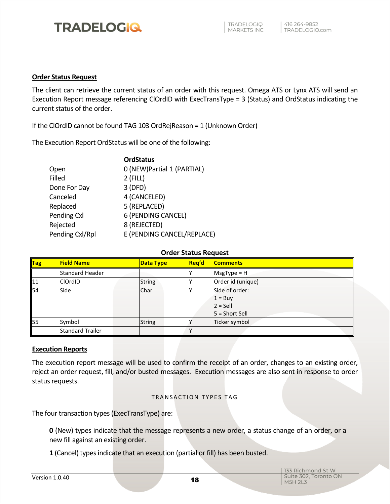#### <span id="page-18-0"></span>**Order Status Request**

The client can retrieve the current status of an order with this request. Omega ATS or Lynx ATS will send an Execution Report message referencing ClOrdID with ExecTransType = 3 (Status) and OrdStatus indicating the current status of the order.

If the ClOrdID cannot be found TAG 103 OrdRejReason = 1 (Unknown Order)

The Execution Report OrdStatus will be one of the following:

|                 | <b>OrdStatus</b>            |
|-----------------|-----------------------------|
| Open            | 0 (NEW) Partial 1 (PARTIAL) |
| Filled          | $2$ (FILL)                  |
| Done For Day    | 3(DFD)                      |
| Canceled        | 4 (CANCELED)                |
| Replaced        | 5 (REPLACED)                |
| Pending Cxl     | 6 (PENDING CANCEL)          |
| Rejected        | 8 (REJECTED)                |
| Pending Cxl/Rpl | E (PENDING CANCEL/REPLACE)  |
|                 |                             |

#### **Order Status Request**

| Tag | <b>Field Name</b>       | <b>Data Type</b> | <b>Reg'd</b> | <b>Comments</b>   |
|-----|-------------------------|------------------|--------------|-------------------|
|     | Standard Header         |                  |              | $MsgType = H$     |
| 11  | <b>ClOrdID</b>          | <b>String</b>    |              | Order id (unique) |
| 54  | Side                    | Char             |              | Side of order:    |
|     |                         |                  |              | $1 = \text{Buy}$  |
|     |                         |                  |              | $2 =$ Sell        |
|     |                         |                  |              | $5 =$ Short Sell  |
| 55  | Symbol                  | <b>String</b>    |              | Ticker symbol     |
|     | <b>Standard Trailer</b> |                  |              |                   |

#### <span id="page-18-1"></span>**Execution Reports**

The execution report message will be used to confirm the receipt of an order, changes to an existing order, reject an order request, fill, and/or busted messages. Execution messages are also sent in response to order status requests.

#### TRANSACTION TYPES TAG

The four transaction types (ExecTransType) are:

**0** (New) types indicate that the message represents a new order, a status change of an order, or a new fill against an existing order.

**1** (Cancel) types indicate that an execution (partial or fill) has been busted.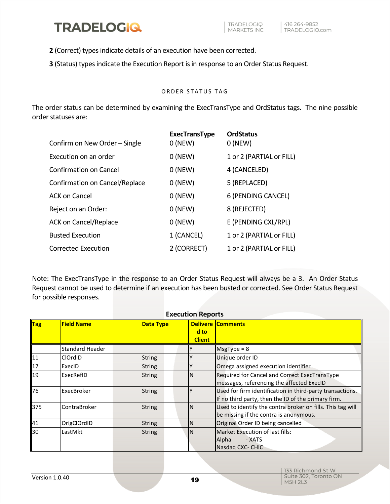**2** (Correct) types indicate details of an execution have been corrected.

**3** (Status) types indicate the Execution Report is in response to an Order Status Request.

#### ORDER STATUS TAG

The order status can be determined by examining the ExecTransType and OrdStatus tags. The nine possible order statuses are:

| Confirm on New Order - Single  | <b>ExecTransType</b><br>$0$ (NEW) | <b>OrdStatus</b><br>$0$ (NEW) |
|--------------------------------|-----------------------------------|-------------------------------|
| Execution on an order          | $0$ (NEW)                         | 1 or 2 (PARTIAL or FILL)      |
| <b>Confirmation on Cancel</b>  | $0$ (NEW)                         | 4 (CANCELED)                  |
| Confirmation on Cancel/Replace | $0$ (NEW)                         | 5 (REPLACED)                  |
| ACK on Cancel                  | $0$ (NEW)                         | 6 (PENDING CANCEL)            |
| Reject on an Order:            | $0$ (NEW)                         | 8 (REJECTED)                  |
| <b>ACK on Cancel/Replace</b>   | $0$ (NEW)                         | E (PENDING CXL/RPL)           |
| <b>Busted Execution</b>        | 1 (CANCEL)                        | 1 or 2 (PARTIAL or FILL)      |
| <b>Corrected Execution</b>     | 2 (CORRECT)                       | 1 or 2 (PARTIAL or FILL)      |

Note: The ExecTransType in the response to an Order Status Request will always be a 3. An Order Status Request cannot be used to determine if an execution has been busted or corrected. See Order Status Request for possible responses.

|     | <b>Execution Reports</b> |                  |                       |                                                                                                                  |  |  |  |
|-----|--------------------------|------------------|-----------------------|------------------------------------------------------------------------------------------------------------------|--|--|--|
| Tag | <b>Field Name</b>        | <b>Data Type</b> | d to<br><b>Client</b> | <b>Delivere Comments</b>                                                                                         |  |  |  |
|     | <b>Standard Header</b>   |                  |                       | $MsgType = 8$                                                                                                    |  |  |  |
| 11  | <b>ClOrdID</b>           | <b>String</b>    | γ                     | Unique order ID                                                                                                  |  |  |  |
| 17  | ExecID                   | <b>String</b>    |                       | Omega assigned execution identifier                                                                              |  |  |  |
| 19  | ExecRefID                | <b>String</b>    | IN                    | Required for Cancel and Correct ExecTransType<br>messages, referencing the affected ExecID                       |  |  |  |
| 76  | ExecBroker               | <b>String</b>    |                       | Used for firm identification in third-party transactions.<br>If no third party, then the ID of the primary firm. |  |  |  |
| 375 | ContraBroker             | <b>String</b>    | IN                    | Used to identify the contra broker on fills. This tag will<br>be missing if the contra is anonymous.             |  |  |  |
| 41  | OrigClOrdID              | <b>String</b>    | IN                    | Original Order ID being cancelled                                                                                |  |  |  |
| 30  | LastMkt                  | <b>String</b>    | IN                    | <b>Market Execution of last fills:</b><br>Alpha<br>- XATS<br>Nasdaq CXC- CHIC                                    |  |  |  |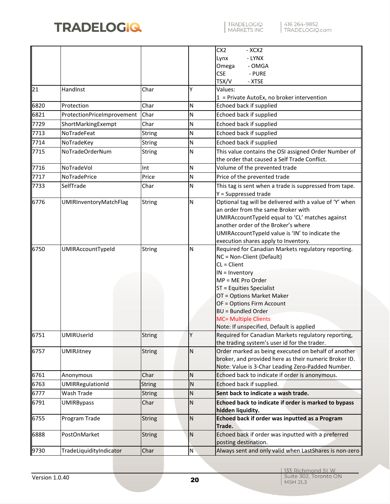|      |                            |               |              | CX <sub>2</sub><br>- XCX2<br>- LYNX<br>Lynx<br>Omega<br>- OMGA                                      |
|------|----------------------------|---------------|--------------|-----------------------------------------------------------------------------------------------------|
|      |                            |               |              | <b>CSE</b><br>- PURE                                                                                |
|      |                            |               | Υ            | TSX/V<br>- XTSE                                                                                     |
| 21   | HandInst                   | Char          |              | Values:<br>$1$ = Private AutoEx, no broker intervention                                             |
| 6820 | Protection                 | Char          | N            | Echoed back if supplied                                                                             |
| 6821 | ProtectionPriceImprovement | Char          | N            | Echoed back if supplied                                                                             |
| 7729 | ShortMarkingExempt         | Char          | N            | Echoed back if supplied                                                                             |
| 7713 | NoTradeFeat                | <b>String</b> | N            | Echoed back if supplied                                                                             |
| 7714 | NoTradeKey                 | <b>String</b> | N            | Echoed back if supplied                                                                             |
| 7715 | NoTradeOrderNum            | <b>String</b> | N            | This value contains the OSI assigned Order Number of                                                |
|      |                            |               |              | the order that caused a Self Trade Conflict.                                                        |
| 7716 | NoTradeVol                 | Int           | N            | Volume of the prevented trade                                                                       |
| 7717 | <b>NoTradePrice</b>        | Price         | N            | Price of the prevented trade                                                                        |
| 7733 | SelfTrade                  | Char          | N            | This tag is sent when a trade is suppressed from tape.                                              |
|      |                            |               |              | Y = Suppressed trade                                                                                |
| 6776 | UMIRInventoryMatchFlag     | String        | N            | Optional tag will be delivered with a value of 'Y' when<br>an order from the same Broker with       |
|      |                            |               |              | UMIRAccountTypeId equal to 'CL' matches against                                                     |
|      |                            |               |              | another order of the Broker's where                                                                 |
|      |                            |               |              | UMIRAccountTypeId value is 'IN' to indicate the                                                     |
|      |                            |               |              | execution shares apply to Inventory.                                                                |
| 6750 | UMIRAccountTypeId          | String        | N            | Required for Canadian Markets regulatory reporting.<br>NC = Non-Client (Default)                    |
|      |                            |               |              | $CL = Client$                                                                                       |
|      |                            |               |              | $IN = Inventory$                                                                                    |
|      |                            |               |              | MP = ME Pro Order                                                                                   |
|      |                            |               |              | ST = Equities Specialist                                                                            |
|      |                            |               |              | OT = Options Market Maker                                                                           |
|      |                            |               |              | OF = Options Firm Account                                                                           |
|      |                            |               |              | <b>BU = Bundled Order</b>                                                                           |
|      |                            |               |              | <b>MC= Multiple Clients</b>                                                                         |
| 6751 | UMIRUserId                 |               | Υ            | Note: If unspecified, Default is applied                                                            |
|      |                            | <b>String</b> |              | Required for Canadian Markets regulatory reporting,<br>the trading system's user id for the trader. |
| 6757 | <b>UMIRJitney</b>          | <b>String</b> | $\mathsf{N}$ | Order marked as being executed on behalf of another                                                 |
|      |                            |               |              | broker, and provided here as their numeric Broker ID.                                               |
|      |                            |               |              | Note: Value is 3-Char Leading Zero-Padded Number.                                                   |
| 6761 | Anonymous                  | Char          | N            | Echoed back to indicate if order is anonymous.                                                      |
| 6763 | UMIRRegulationId           | <b>String</b> | N            | Echoed back if supplied.                                                                            |
| 6777 | Wash Trade                 | <b>String</b> | N            | Sent back to indicate a wash trade.                                                                 |
| 6791 | <b>UMIRBypass</b>          | Char          | ${\sf N}$    | Echoed back to indicate if order is marked to bypass                                                |
|      |                            |               |              | hidden liquidity.                                                                                   |
| 6755 | Program Trade              | <b>String</b> | ${\sf N}$    | Echoed back if order was inputted as a Program                                                      |
|      |                            |               |              | Trade.                                                                                              |
| 6888 | PostOnMarket               | <b>String</b> | $\mathsf{N}$ | Echoed back if order was inputted with a preferred                                                  |
|      |                            |               |              | posting destination.                                                                                |
| 9730 | TradeLiquidityIndicator    | Char          | N            | Always sent and only valid when LastShares is non-zero                                              |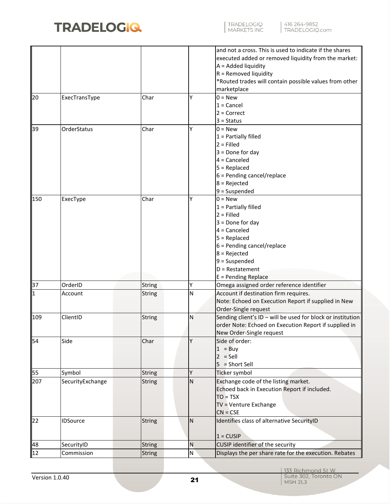

|             |                  |               |           | and not a cross. This is used to indicate if the shares<br>executed added or removed liquidity from the market:<br>A = Added liquidity<br>$R =$ Removed liquidity<br>*Routed trades will contain possible values from other<br>marketplace |
|-------------|------------------|---------------|-----------|--------------------------------------------------------------------------------------------------------------------------------------------------------------------------------------------------------------------------------------------|
| 20          | ExecTransType    | Char          | Υ         | $0 = New$<br>$1 =$ Cancel<br>$2 = Correct$<br>$3 = Status$                                                                                                                                                                                 |
| 39          | OrderStatus      | Char          | Υ         | $0 = New$<br>$1$ = Partially filled<br>$2 =$ Filled<br>$3 =$ Done for day<br>$4 =$ Canceled<br>$5 = Replaced$<br>6 = Pending cancel/replace<br>$8 =$ Rejected<br>$9 =$ Suspended                                                           |
| 150         | ExecType         | Char          | Υ         | $0 = New$<br>$1$ = Partially filled<br>$2 =$ Filled<br>$3 =$ Done for day<br>$4 =$ Canceled<br>$5 = Replaced$<br>$6$ = Pending cancel/replace<br>$8 =$ Rejected<br>9 = Suspended<br>$D =$ Restatement<br>$E =$ Pending Replace             |
| 37          | OrderID          | <b>String</b> | Υ         | Omega assigned order reference identifier                                                                                                                                                                                                  |
| $\mathbf 1$ | Account          | <b>String</b> | N         | Account if destination firm requires.<br>Note: Echoed on Execution Report if supplied in New<br>Order-Single request                                                                                                                       |
| 109         | ClientID         | <b>String</b> | N         | Sending client's ID - will be used for block or institution<br>order Note: Echoed on Execution Report if supplied in<br>New Order-Single request                                                                                           |
| 54          | Side             | Char          | Y         | Side of order:<br>$1 = Buy$<br>$2 =$ Sell<br>$5 = Short Sell$                                                                                                                                                                              |
| 55          | Symbol           | <b>String</b> | Y         | Ticker symbol                                                                                                                                                                                                                              |
| 207         | SecurityExchange | <b>String</b> | N         | Exchange code of the listing market.<br>Echoed back in Execution Report if included.<br>$TO = TSX$<br>TV = Venture Exchange<br>$CN = CSE$                                                                                                  |
| 22          | <b>IDSource</b>  | <b>String</b> | <b>N</b>  | Identifies class of alternative SecurityID<br>$1 = CUSIP$                                                                                                                                                                                  |
| 48          | SecurityID       | <b>String</b> | ${\sf N}$ | CUSIP identifier of the security                                                                                                                                                                                                           |
| 12          | Commission       | <b>String</b> | ${\sf N}$ | Displays the per share rate for the execution. Rebates                                                                                                                                                                                     |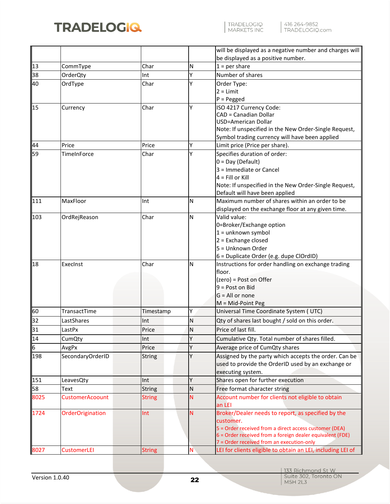

|      |                        |               |           | will be displayed as a negative number and charges will     |
|------|------------------------|---------------|-----------|-------------------------------------------------------------|
|      |                        |               |           | be displayed as a positive number.                          |
| 13   | CommType               | Char          | N         | $1 = per share$                                             |
| 38   | OrderQty               | Int           | Υ         | Number of shares                                            |
| 40   | OrdType                | Char          | Υ         | Order Type:                                                 |
|      |                        |               |           | $2 = Limit$                                                 |
|      |                        |               |           | $P = P$ egged                                               |
| 15   | Currency               | Char          | Υ         | ISO 4217 Currency Code:                                     |
|      |                        |               |           | CAD = Canadian Dollar                                       |
|      |                        |               |           | USD=American Dollar                                         |
|      |                        |               |           | Note: If unspecified in the New Order-Single Request,       |
|      |                        |               |           | Symbol trading currency will have been applied              |
| 44   | Price                  | Price         | Υ         | Limit price (Price per share).                              |
| 59   | TimeInForce            | Char          | Υ         | Specifies duration of order:                                |
|      |                        |               |           | $0 = Day (Default)$                                         |
|      |                        |               |           | 3 = Immediate or Cancel                                     |
|      |                        |               |           | $4 =$ Fill or Kill                                          |
|      |                        |               |           | Note: If unspecified in the New Order-Single Request,       |
|      |                        |               |           | Default will have been applied                              |
| 111  | MaxFloor               | Int           | N         | Maximum number of shares within an order to be              |
|      |                        |               |           | displayed on the exchange floor at any given time.          |
| 103  | OrdRejReason           | Char          | N         | Valid value:                                                |
|      |                        |               |           | 0=Broker/Exchange option                                    |
|      |                        |               |           | $1 =$ unknown symbol                                        |
|      |                        |               |           | 2 = Exchange closed                                         |
|      |                        |               |           | 5 = Unknown Order                                           |
|      |                        |               |           | 6 = Duplicate Order (e.g. dupe ClOrdID)                     |
| 18   | ExecInst               | Char          | N         | Instructions for order handling on exchange trading         |
|      |                        |               |           | floor.<br>(zero) = Post on Offer                            |
|      |                        |               |           | $9 = Post$ on Bid                                           |
|      |                        |               |           | $G = All or none$                                           |
|      |                        |               |           | M = Mid-Point Peg                                           |
| 60   | TransactTime           | Timestamp     | Υ         | Universal Time Coordinate System (UTC)                      |
|      |                        |               |           |                                                             |
| 32   | LastShares             | Int           | N         | Qty of shares last bought / sold on this order.             |
| 31   | LastPx                 | Price         | ${\sf N}$ | Price of last fill.                                         |
| 14   | CumQty                 | Int           | Υ         | Cumulative Qty. Total number of shares filled.              |
| 6    | AvgPx                  | Price         | Υ         | Average price of CumQty shares                              |
| 198  | SecondaryOrderID       | <b>String</b> | Υ         | Assigned by the party which accepts the order. Can be       |
|      |                        |               |           | used to provide the OrderID used by an exchange or          |
|      |                        |               |           | executing system.                                           |
| 151  | LeavesQty              | Int           | Υ         | Shares open for further execution                           |
| 58   | Text                   | <b>String</b> | ${\sf N}$ | Free format character string                                |
| 8025 | <b>CustomerAcoount</b> | <b>String</b> | N         | Account number for clients not eligible to obtain           |
|      |                        |               |           | an LEI                                                      |
| 1724 | OrderOrigination       | Int           | N         | Broker/Dealer needs to report, as specified by the          |
|      |                        |               |           | customer.                                                   |
|      |                        |               |           | 5 = Order received from a direct access customer (DEA)      |
|      |                        |               |           | 6 = Order received from a foreign dealer equivalent (FDE)   |
|      |                        |               |           | 7 = Order received from an execution-only                   |
| 8027 | <b>CustomerLEI</b>     | <b>String</b> | N         | LEI for clients eligible to obtain an LEI, including LEI of |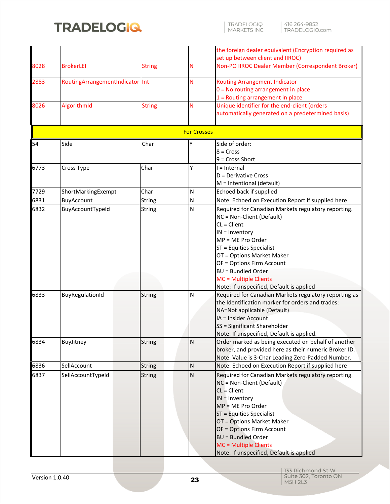

| TRADELOGIQ<br>| MARKETS INC

|                    |                                 |               |  |           | the foreign dealer equivalent (Encryption required as |  |  |  |  |  |
|--------------------|---------------------------------|---------------|--|-----------|-------------------------------------------------------|--|--|--|--|--|
|                    |                                 |               |  |           | set up between client and IIROC)                      |  |  |  |  |  |
| 8028               | <b>BrokerLEI</b>                | <b>String</b> |  | N         | Non-PO IIROC Dealer Member (Correspondent Broker)     |  |  |  |  |  |
| 2883               | RoutingArrangementIndicator Int |               |  | N         | <b>Routing Arrangement Indicator</b>                  |  |  |  |  |  |
|                    |                                 |               |  |           | 0 = No routing arrangement in place                   |  |  |  |  |  |
|                    |                                 |               |  |           | $1 =$ Routing arrangement in place                    |  |  |  |  |  |
| 8026               | AlgorithmId                     | <b>String</b> |  | N         | Unique identifier for the end-client (orders          |  |  |  |  |  |
|                    |                                 |               |  |           | automatically generated on a predetermined basis)     |  |  |  |  |  |
|                    |                                 |               |  |           |                                                       |  |  |  |  |  |
| <b>For Crosses</b> |                                 |               |  |           |                                                       |  |  |  |  |  |
| 54                 | Side                            | Char          |  | Y         | Side of order:                                        |  |  |  |  |  |
|                    |                                 |               |  |           | $8 = Cross$                                           |  |  |  |  |  |
|                    |                                 |               |  |           | $9$ = Cross Short                                     |  |  |  |  |  |
| 6773               | Cross Type                      | Char          |  | Υ         | $l = Internal$                                        |  |  |  |  |  |
|                    |                                 |               |  |           | D = Derivative Cross                                  |  |  |  |  |  |
|                    |                                 |               |  |           | $M = Intentional (default)$                           |  |  |  |  |  |
| 7729               | ShortMarkingExempt              | Char          |  | N         | Echoed back if supplied                               |  |  |  |  |  |
| 6831               | BuyAccount                      | <b>String</b> |  | N         | Note: Echoed on Execution Report if supplied here     |  |  |  |  |  |
| 6832               | BuyAccountTypeId                | <b>String</b> |  | N         | Required for Canadian Markets regulatory reporting.   |  |  |  |  |  |
|                    |                                 |               |  |           | NC = Non-Client (Default)                             |  |  |  |  |  |
|                    |                                 |               |  |           | $CL = Client$                                         |  |  |  |  |  |
|                    |                                 |               |  |           | $IN = Inventory$                                      |  |  |  |  |  |
|                    |                                 |               |  |           | MP = ME Pro Order                                     |  |  |  |  |  |
|                    |                                 |               |  |           | ST = Equities Specialist                              |  |  |  |  |  |
|                    |                                 |               |  |           | OT = Options Market Maker                             |  |  |  |  |  |
|                    |                                 |               |  |           | OF = Options Firm Account                             |  |  |  |  |  |
|                    |                                 |               |  |           | <b>BU = Bundled Order</b>                             |  |  |  |  |  |
|                    |                                 |               |  |           | MC = Multiple Clients                                 |  |  |  |  |  |
|                    |                                 |               |  |           | Note: If unspecified, Default is applied              |  |  |  |  |  |
| 6833               | BuyRegulationId                 | <b>String</b> |  | N         | Required for Canadian Markets regulatory reporting as |  |  |  |  |  |
|                    |                                 |               |  |           | the Identification marker for orders and trades:      |  |  |  |  |  |
|                    |                                 |               |  |           | NA=Not applicable (Default)                           |  |  |  |  |  |
|                    |                                 |               |  |           | IA = Insider Account                                  |  |  |  |  |  |
|                    |                                 |               |  |           |                                                       |  |  |  |  |  |
|                    |                                 |               |  |           | SS = Significant Shareholder                          |  |  |  |  |  |
|                    |                                 |               |  |           | Note: If unspecified, Default is applied.             |  |  |  |  |  |
| 6834               | BuyJitney                       | <b>String</b> |  | ${\sf N}$ | Order marked as being executed on behalf of another   |  |  |  |  |  |
|                    |                                 |               |  |           | broker, and provided here as their numeric Broker ID. |  |  |  |  |  |
|                    |                                 |               |  |           | Note: Value is 3-Char Leading Zero-Padded Number.     |  |  |  |  |  |
| 6836               | SellAccount                     | <b>String</b> |  | ${\sf N}$ | Note: Echoed on Execution Report if supplied here     |  |  |  |  |  |
| 6837               | SellAccountTypeId               | <b>String</b> |  | ${\sf N}$ | Required for Canadian Markets regulatory reporting.   |  |  |  |  |  |
|                    |                                 |               |  |           | NC = Non-Client (Default)                             |  |  |  |  |  |
|                    |                                 |               |  |           | CL = Client                                           |  |  |  |  |  |
|                    |                                 |               |  |           | $IN =$ Inventory                                      |  |  |  |  |  |
|                    |                                 |               |  |           | MP = ME Pro Order                                     |  |  |  |  |  |
|                    |                                 |               |  |           | ST = Equities Specialist                              |  |  |  |  |  |
|                    |                                 |               |  |           | OT = Options Market Maker                             |  |  |  |  |  |
|                    |                                 |               |  |           | OF = Options Firm Account                             |  |  |  |  |  |
|                    |                                 |               |  |           | <b>BU = Bundled Order</b>                             |  |  |  |  |  |
|                    |                                 |               |  |           | MC = Multiple Clients                                 |  |  |  |  |  |
|                    |                                 |               |  |           | Note: If unspecified, Default is applied              |  |  |  |  |  |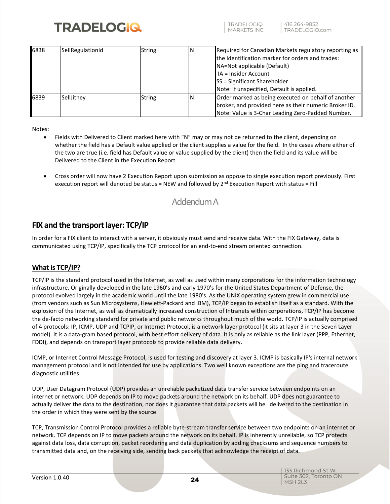

TRADELOGIO **MARKETS INC** 

| 6838 | SellRegulationId | <b>String</b> | N | Required for Canadian Markets regulatory reporting as<br>the Identification marker for orders and trades:<br>NA=Not applicable (Default)<br>IA = Insider Account<br><b>SS</b> = Significant Shareholder<br>Note: If unspecified, Default is applied. |
|------|------------------|---------------|---|------------------------------------------------------------------------------------------------------------------------------------------------------------------------------------------------------------------------------------------------------|
| 6839 | SellJitney       | <b>String</b> | N | Order marked as being executed on behalf of another<br>broker, and provided here as their numeric Broker ID.<br>Note: Value is 3-Char Leading Zero-Padded Number.                                                                                    |

Notes:

- Fields with Delivered to Client marked here with "N" may or may not be returned to the client, depending on whether the field has a Default value applied or the client supplies a value for the field. In the cases where either of the two are true (i.e. field has Default value or value supplied by the client) then the field and its value will be Delivered to the Client in the Execution Report.
- <span id="page-24-0"></span>• Cross order will now have 2 Execution Report upon submission as oppose to single execution report previously. First execution report will denoted be status = NEW and followed by  $2^{nd}$  Execution Report with status = Fill

### Addendum A

#### <span id="page-24-1"></span>**FIX and the transport layer: TCP/IP**

In order for a FIX client to interact with a server, it obviously must send and receive data. With the FIX Gateway, data is communicated using TCP/IP, specifically the TCP protocol for an end-to-end stream oriented connection.

#### <span id="page-24-2"></span>**What is TCP/IP?**

TCP/IP is the standard protocol used in the Internet, as well as used within many corporations for the information technology infrastructure. Originally developed in the late 1960's and early 1970's for the United States Department of Defense, the protocol evolved largely in the academic world until the late 1980's. As the UNIX operating system grew in commercial use (from vendors such as Sun Microsystems, Hewlett-Packard and IBM), TCP/IP began to establish itself as a standard. With the explosion of the Internet, as well as dramatically increased construction of Intranets within corporations, TCP/IP has become the de-facto networking standard for private and public networks throughout much of the world. TCP/IP is actually comprised of 4 protocols: IP, ICMP, UDP and TCPIP, or Internet Protocol, is a network layer protocol (it sits at layer 3 in the Seven Layer model). It is a data-gram based protocol, with best effort delivery of data. It is only as reliable as the link layer (PPP, Ethernet, FDDI), and depends on transport layer protocols to provide reliable data delivery.

ICMP, or Internet Control Message Protocol, is used for testing and discovery at layer 3. ICMP is basically IP's internal network management protocol and is not intended for use by applications. Two well known exceptions are the ping and traceroute diagnostic utilities:

UDP, User Datagram Protocol (UDP) provides an unreliable packetized data transfer service between endpoints on an internet or network. UDP depends on IP to move packets around the network on its behalf. UDP does not guarantee to actually deliver the data to the destination, nor does it guarantee that data packets will be delivered to the destination in the order in which they were sent by the source

TCP, Transmission Control Protocol provides a reliable byte-stream transfer service between two endpoints on an internet or network. TCP depends on IP to move packets around the network on its behalf. IP is inherently unreliable, so TCP protects against data loss, data corruption, packet reordering and data duplication by adding checksums and sequence numbers to transmitted data and, on the receiving side, sending back packets that acknowledge the receipt of data.